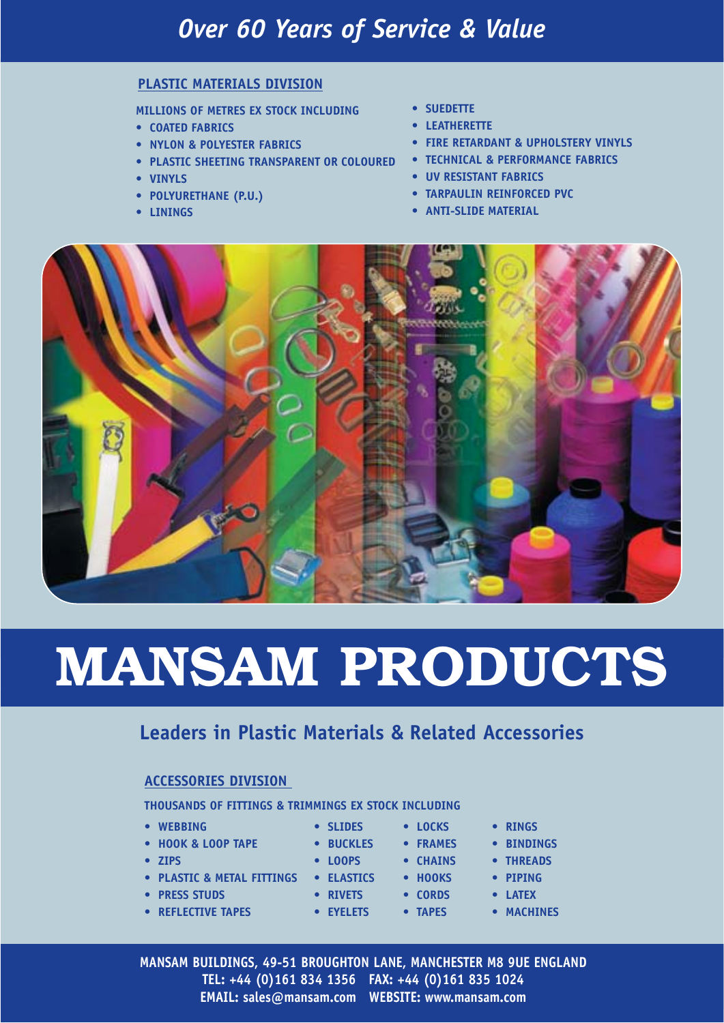## *Over 60 Years of Service & Value*

#### **PLASTIC MATERIALS DIVISION**

**MILLIONS OF METRES EX STOCK INCLUDING**

- **COATED FABRICS**
- **NYLON & POLYESTER FABRICS**
- **PLASTIC SHEETING TRANSPARENT OR COLOURED TECHNICAL & PERFORMANCE FABRICS**
- **VINYLS**
- **POLYURETHANE (P.U.)**
- **LININGS**
- **SUEDETTE**
- **LEATHERETTE**
- **FIRE RETARDANT & UPHOLSTERY VINYLS**
- 
- **UV RESISTANT FABRICS**
- **TARPAULIN REINFORCED PVC**
- **ANTI-SLIDE MATERIAL**



# **MANSAM PRODUCTS**

#### **Leaders in Plastic Materials & Related Accessories**

#### **ACCESSORIES DIVISION**

**THOUSANDS OF FITTINGS & TRIMMINGS EX STOCK INCLUDING**

- **WEBBING**
- **HOOK & LOOP TAPE**
- **ZIPS**
- **PLASTIC & METAL FITTINGS ELASTICS HOOKS**
- **PRESS STUDS**
- **REFLECTIVE TAPES**
- **BUCKLES FRAMES**
- 
- **RIVETS CORDS**
- **EYELETS**
- **SLIDES LOCKS**
- **LOOPS CHAINS**

**• TAPES**

- - **LATEX** 
		- **MACHINES**

**• THREADS • PIPING** 

**MANSAM BUILDINGS, 49-51 BROUGHTON LANE, MANCHESTER M8 9UE ENGLAND TEL: +44 (0)161 834 1356 FAX: +44 (0)161 835 1024 EMAIL: sales@mansam.com WEBSITE: www.mansam.com**

**• RINGS • BINDINGS**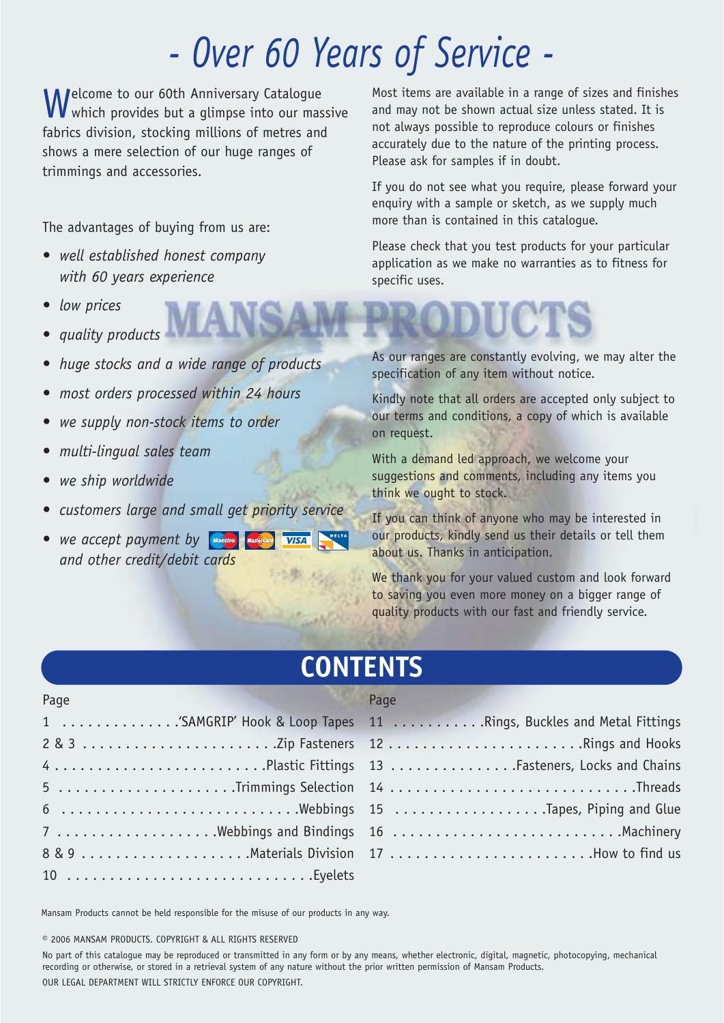## *- Over 60 Years of Service -*

Welcome to our 60th Anniversary Catalogue<br>W which provides but a glimpse into our massive fabrics division, stocking millions of metres and shows a mere selection of our huge ranges of trimmings and accessories.

The advantages of buying from us are:

- *well established honest company with 60 years experience*
- *low prices*
- *quality products*
- *huge stocks and a wide range of products*
- *most orders processed within 24 hours*
- *we supply non-stock items to order*
- *multi-lingual sales team*
- *we ship worldwide*
- *customers large and small get priority service*
- *we accept payment by and other credit/debit cards*

Most items are available in a range of sizes and finishes and may not be shown actual size unless stated. It is not always possible to reproduce colours or finishes accurately due to the nature of the printing process. Please ask for samples if in doubt.

If you do not see what you require, please forward your enquiry with a sample or sketch, as we supply much more than is contained in this catalogue.

Please check that you test products for your particular application as we make no warranties as to fitness for specific uses.

As our ranges are constantly evolving, we may alter the specification of any item without notice.

Kindly note that all orders are accepted only subject to our terms and conditions, a copy of which is available on request.

With a demand led approach, we welcome your suggestions and comments, including any items you think we ought to stock.

If you can think of anyone who may be interested in our products, kindly send us their details or tell them about us. Thanks in anticipation.

We thank you for your valued custom and look forward to saving you even more money on a bigger range of quality products with our fast and friendly service.

## **CONTENTS**

| Page                                                              | Page |
|-------------------------------------------------------------------|------|
| 1 SAMGRIP' Hook & Loop Tapes 11 Rings, Buckles and Metal Fittings |      |
|                                                                   |      |
| 4Plastic Fittings 13Fasteners, Locks and Chains                   |      |
| 5 Threads                                                         |      |
| 6 Webbings 15 Tapes, Piping and Glue                              |      |
| 7 Webbings and Bindings 16 Machinery                              |      |
|                                                                   |      |
| $10$ Eyelets                                                      |      |

Mansam Products cannot be held responsible for the misuse of our products in any way.

**©** 2006 MANSAM PRODUCTS. COPYRIGHT & ALL RIGHTS RESERVED

No part of this catalogue may be reproduced or transmitted in any form or by any means, whether electronic, digital, magnetic, photocopying, mechanical recording or otherwise, or stored in a retrieval system of any nature without the prior written permission of Mansam Products. OUR LEGAL DEPARTMENT WILL STRICTLY ENFORCE OUR COPYRIGHT.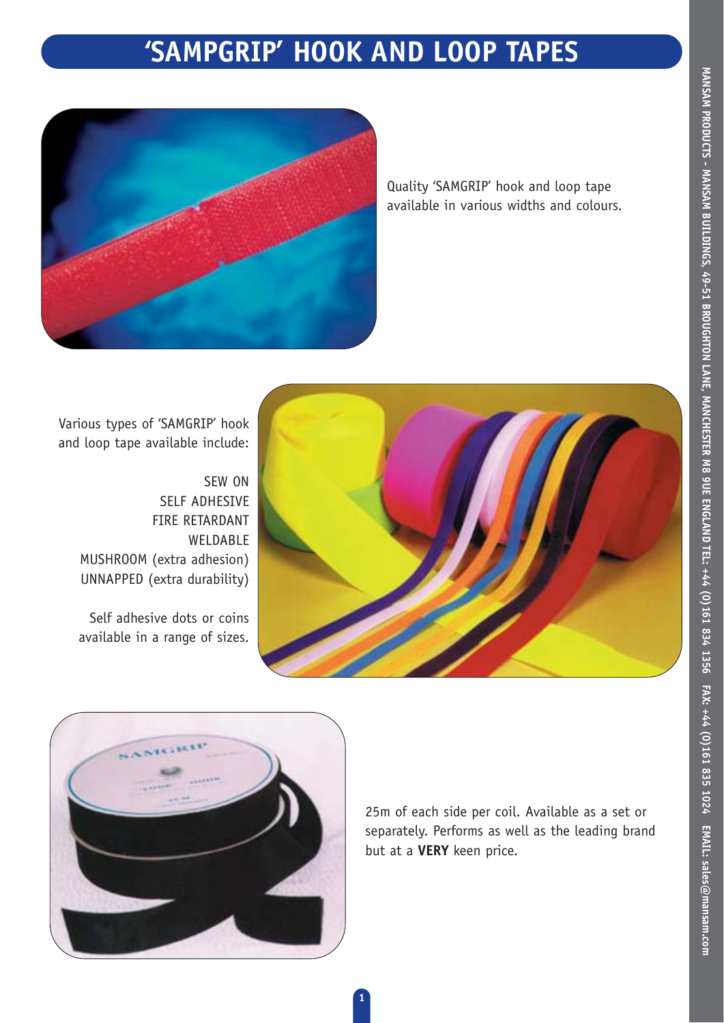## **'SAMPGRIP' HOOK AND LOOP TAPES**



Quality 'SAMGRIP' hook and loop tape available in various widths and colours.

Various types of 'SAMGRIP' hook and loop tape available include:

> SEW ON SELF ADHESIVE FIRE RETARDANT WELDABLE MUSHROOM (extra adhesion) UNNAPPED (extra durability)

Self adhesive dots or coins available in a range of sizes.





25m of each side per coil. Available as a set or separately. Performs as well as the leading brand but at a **VERY** keen price.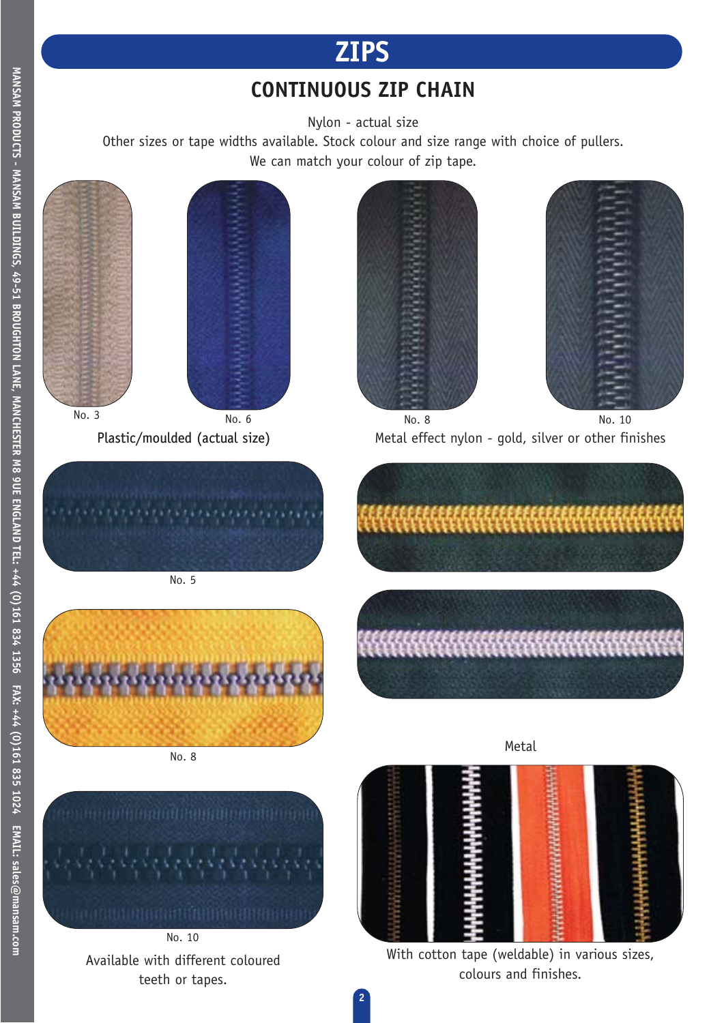## **ZIPS**

### **CONTINUOUS ZIP CHAIN**

Nylon - actual size

Other sizes or tape widths available. Stock colour and size range with choice of pullers. We can match your colour of zip tape.







Plastic/moulded (actual size) Metal effect nylon - gold, silver or other finishes No. 6 No. 8 No. 8 No. 10



No. 5



No. 8



No. 10 Available with different coloured teeth or tapes.





With cotton tape (weldable) in various sizes, colours and finishes.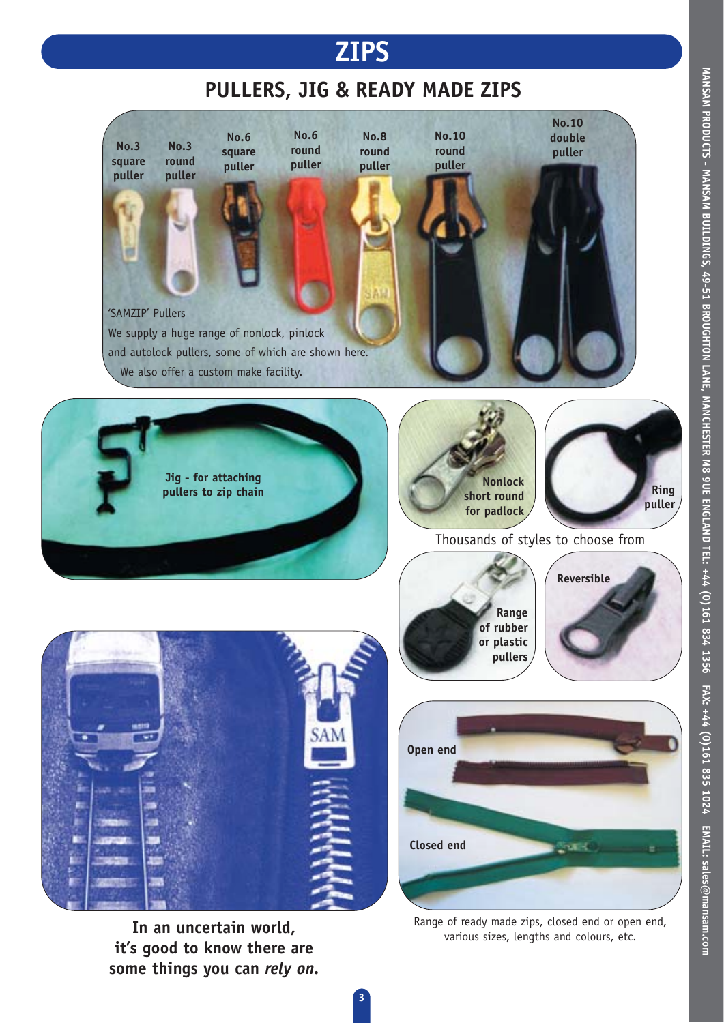

### **PULLERS, JIG & READY MADE ZIPS**



**3**

**In an uncertain world, it's good to know there are some things you can** *rely on.*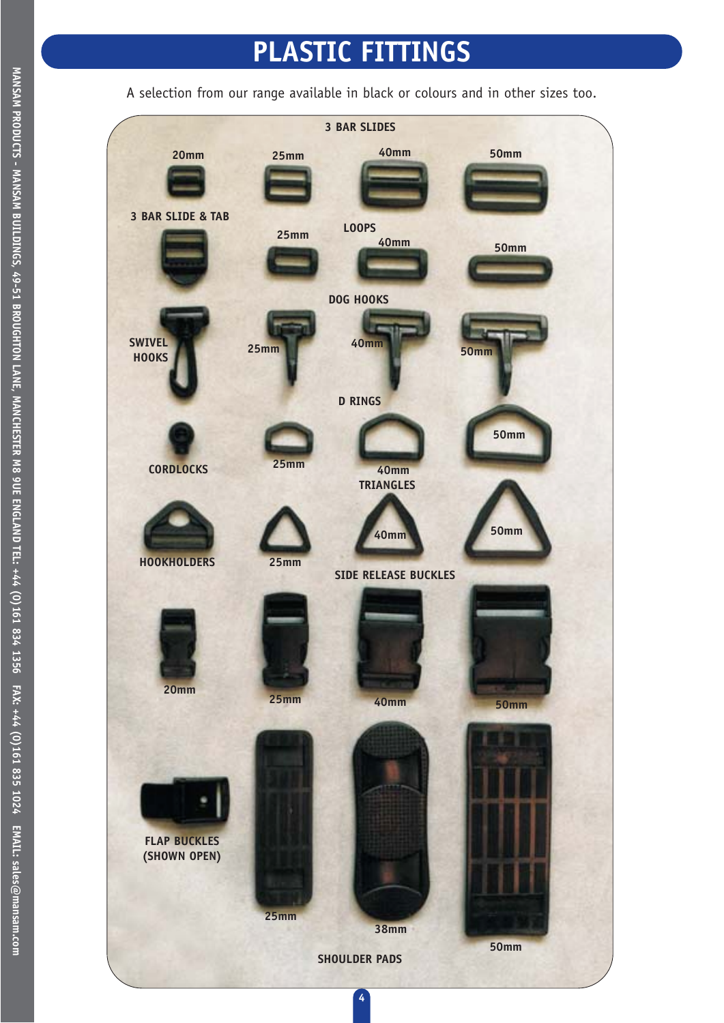## **PLASTIC FITTINGS**

A selection from our range available in black or colours and in other sizes too.

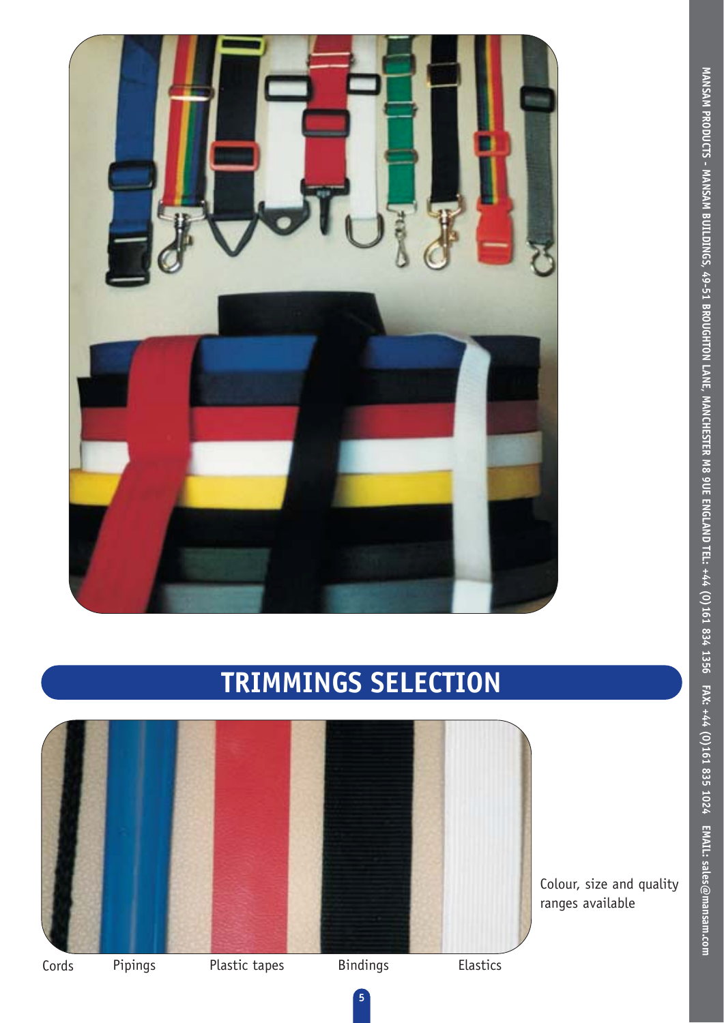

## **TRIMMINGS SELECTION**



Colour, size and quality ranges available

**MANSAM PRODUCTS - MANSAM BUILDINGS, 49-51 BROUGHTON LANE, MANCHESTER M8 9UE ENGLAND TEL: +44 (0)161 834 1356 FAX: +44 (0)161 835 1024 EMAIL: sales@mansam.com** 

MANSAM PRODUCTS - MANSAM BUILDINGS, 49-51 BROUGHTON LANE, MANCHESTER M8 9UE ENGLAND TEL: +44 (0)161 834 1356 FAX: +44 (0)161 835 1024 EMAIL: sales@mansam.com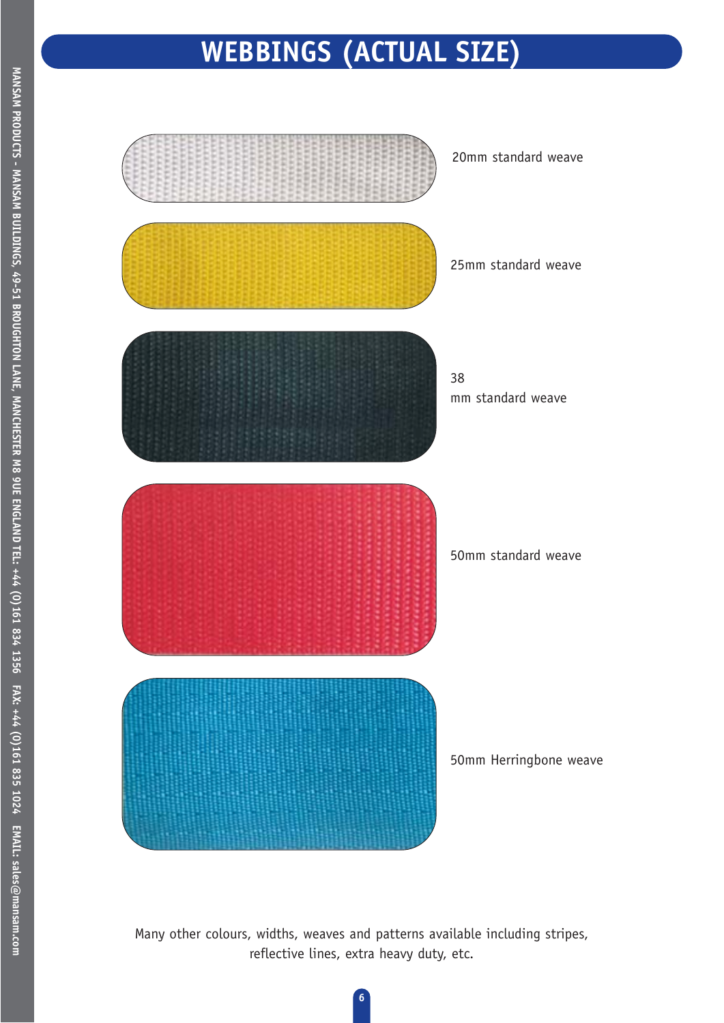## **WEBBINGS (ACTUAL SIZE)**



Many other colours, widths, weaves and patterns available including stripes, reflective lines, extra heavy duty, etc.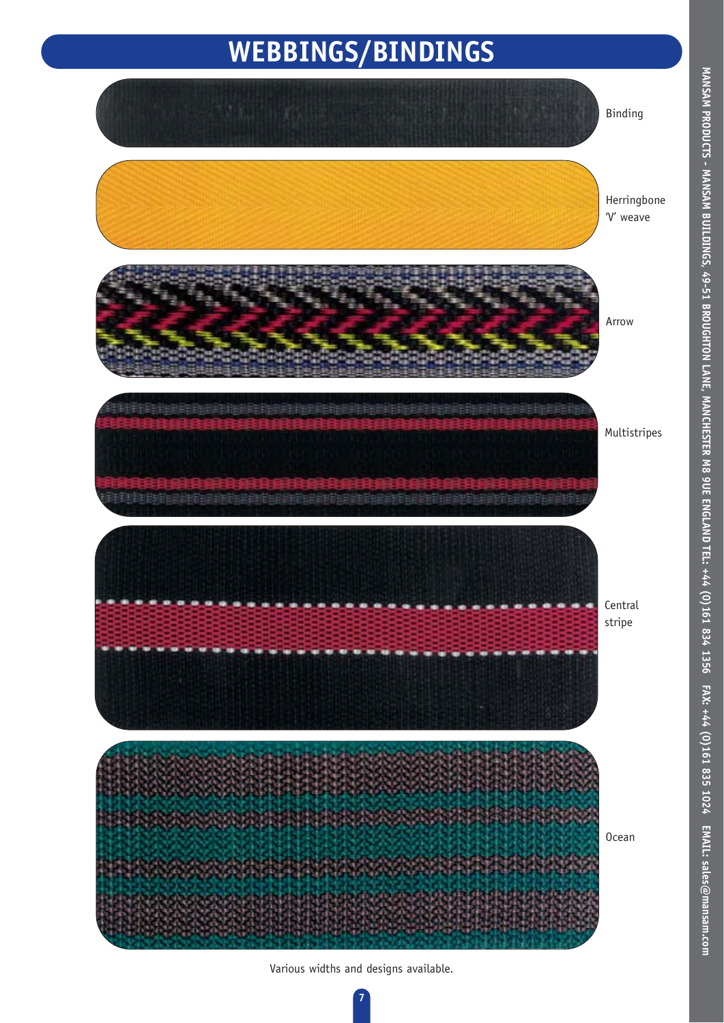## **WEBBINGS/BINDINGS**



Various widths and designs available.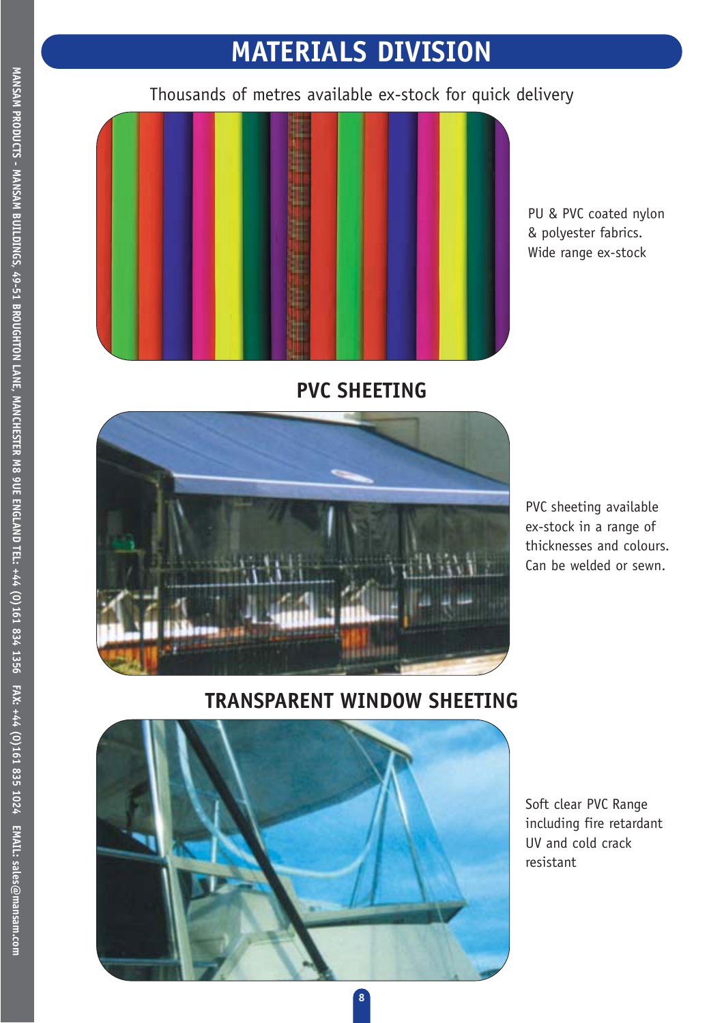## **MATERIALS DIVISION**

Thousands of metres available ex-stock for quick delivery



PU & PVC coated nylon & polyester fabrics. Wide range ex-stock





PVC sheeting available ex-stock in a range of thicknesses and colours. Can be welded or sewn.

#### **TRANSPARENT WINDOW SHEETING**



Soft clear PVC Range including fire retardant UV and cold crack resistant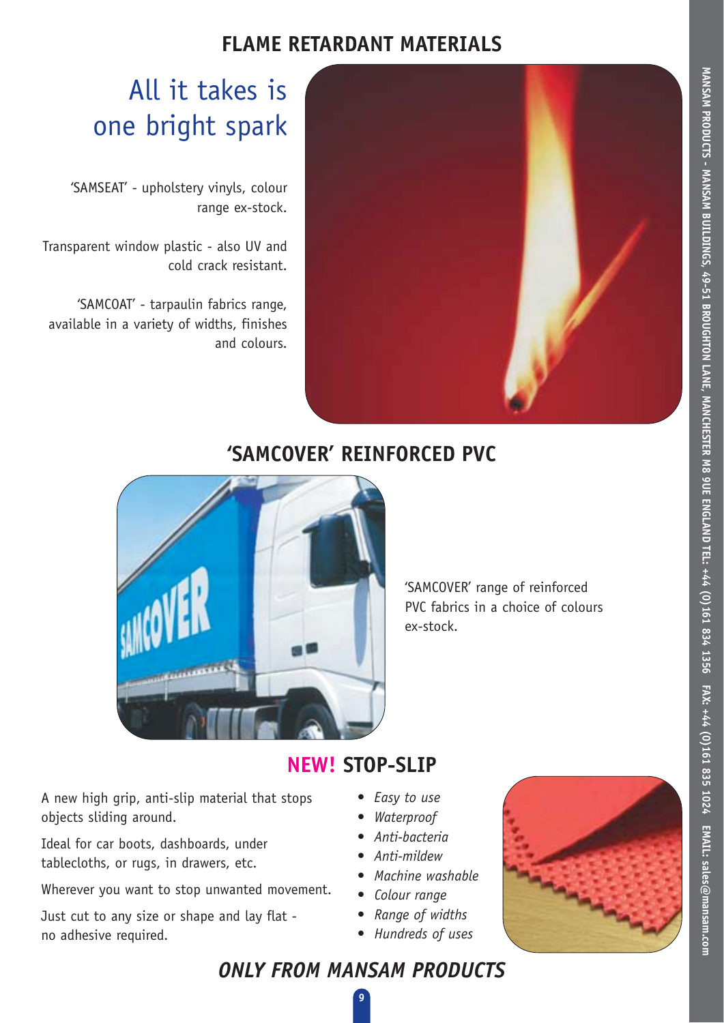#### **FLAME RETARDANT MATERIALS**



## All it takes is one bright spark

'SAMSEAT' - upholstery vinyls, colour range ex-stock.

Transparent window plastic - also UV and cold crack resistant.

'SAMCOAT' - tarpaulin fabrics range, available in a variety of widths, finishes and colours.

### **'SAMCOVER' REINFORCED PVC**



'SAMCOVER' range of reinforced PVC fabrics in a choice of colours ex-stock.

## **NEW! STOP-SLIP**

A new high grip, anti-slip material that stops objects sliding around.

Ideal for car boots, dashboards, under tablecloths, or rugs, in drawers, etc.

Wherever you want to stop unwanted movement.

Just cut to any size or shape and lay flat no adhesive required.

- *Easy to use*
- *Waterproof*
- *Anti-bacteria*
- *Anti-mildew*
- *Machine washable*
- *Colour range*
- *Range of widths*
- *Hundreds of uses*



### *ONLY FROM MANSAM PRODUCTS*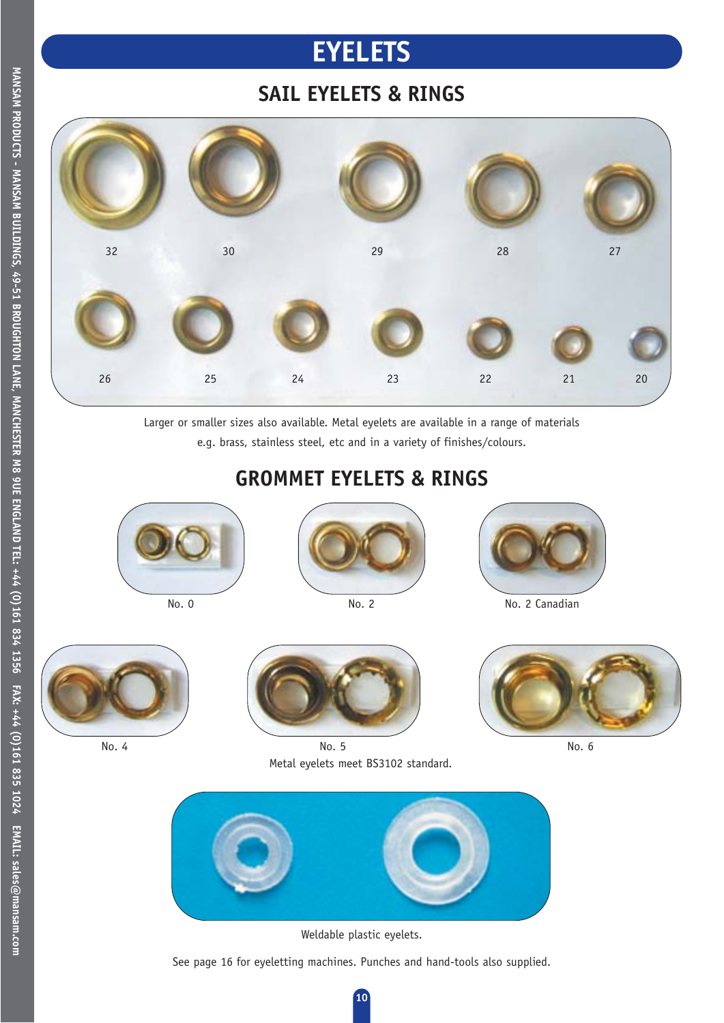## **EYELETS**

### **SAIL EYELETS & RINGS**



Larger or smaller sizes also available. Metal eyelets are available in a range of materials e.g. brass, stainless steel, etc and in a variety of finishes/colours.

### **GROMMET EYELETS & RINGS**









No. 4



No. 5 No. 6 Metal eyelets meet BS3102 standard.





Weldable plastic eyelets.

See page 16 for eyeletting machines. Punches and hand-tools also supplied.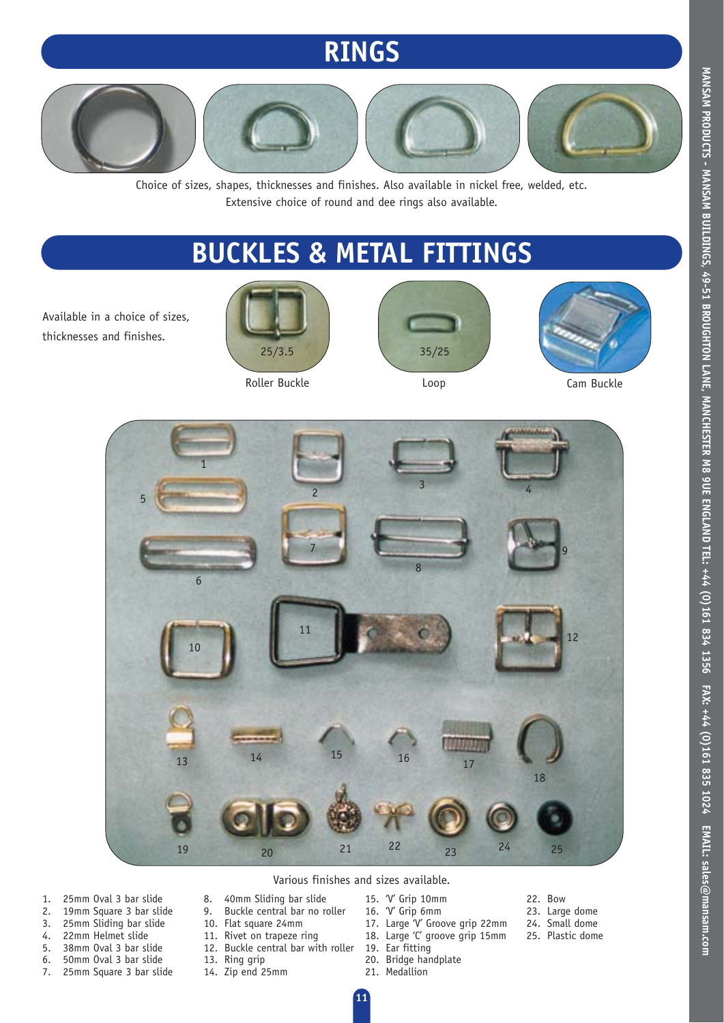## **RINGS**



Choice of sizes, shapes, thicknesses and finishes. Also available in nickel free, welded, etc. Extensive choice of round and dee rings also available.

## **BUCKLES & METAL FITTINGS**

Available in a choice of sizes, thicknesses and finishes.









Roller Buckle **Cam Buckle Cam Buckle Cam Buckle** 



#### Various finishes and sizes available.

- 1. 25mm Oval 3 bar slide<br>2. 19mm Square 3 bar slid
- 2. 19mm Square 3 bar slide<br>3. 25mm Sliding bar slide
- 3. 25mm Sliding bar slide
- 22mm Helmet slide
- 5. 38mm Oval 3 bar slide
- 6. 50mm Oval 3 bar slide
- 7. 25mm Square 3 bar slide
- 9. Buckle central bar no roller 10. Flat square 24mm

8. 40mm Sliding bar slide

- 11. Rivet on trapeze ring
- 12. Buckle central bar with roller
- 13. Ring grip
- 14. Zip end 25mm
- 15. 'V' Grip 10mm
	- 16. 'V' Grip 6mm
	- 17. Large 'V' Groove grip 22mm 18. Large 'C' groove grip 15mm
	-
	- 19. Ear fitting
	- 20. Bridge handplate 21. Medallion
- 22. Bow 23. Large dome
- 24. Small dome
- 25. Plastic dome
- 
- 
- 

MANSAM PRODUCTS - MANSAM BUILDINGS, 49-51 BROUGHTON LANE, MANCHESTER M8 9UE ENGLAND TEL: +44 (0)161 834 1356 FAX: +44 (0)161 835 1024 EMAIL: sales@mansam.com **MANSAM PRODUCTS - MANSAM BUILDINGS, 49-51 BROUGHTON LANE, MANCHESTER M8 9UE ENGLAND TEL: +44 (0)161 834 1356 FAX: +44 (0)161 835 1024 EMAIL: sales@mansam.com**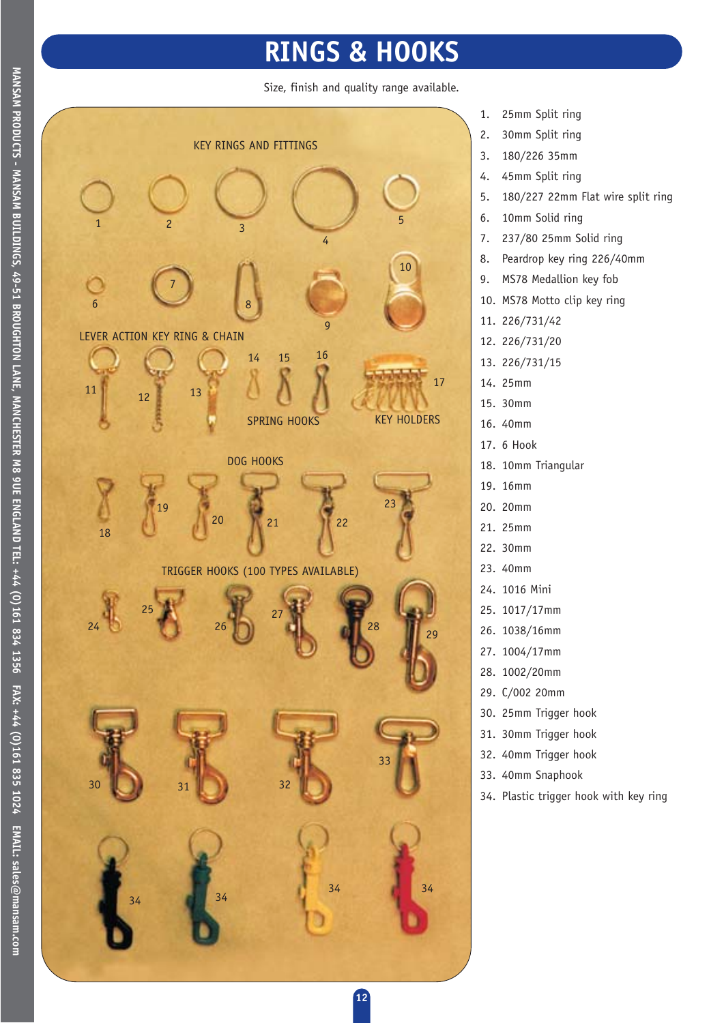## **RINGS & HOOKS**

Size, finish and quality range available.



- 1. 25mm Split ring
- 2. 30mm Split ring
- 3. 180/226 35mm
- 4. 45mm Split ring
- 5. 180/227 22mm Flat wire split ring
- 6. 10mm Solid ring
- 7. 237/80 25mm Solid ring
- 8. Peardrop key ring 226/40mm
- 9. MS78 Medallion key fob
- 10. MS78 Motto clip key ring
- 11. 226/731/42
- 12. 226/731/20
- 13. 226/731/15
- 14. 25mm
- 15. 30mm
- 16. 40mm
- 17. 6 Hook
- 18. 10mm Triangular
- 19. 16mm
- 20. 20mm
- 21. 25mm
- 22. 30mm
- 23. 40mm
- 24. 1016 Mini
- 25. 1017/17mm
- 26. 1038/16mm
- 27. 1004/17mm
- 28. 1002/20mm
- 29. C/002 20mm
- 30. 25mm Trigger hook
- 31. 30mm Trigger hook
- 32. 40mm Trigger hook
- 33. 40mm Snaphook
- 34. Plastic trigger hook with key ring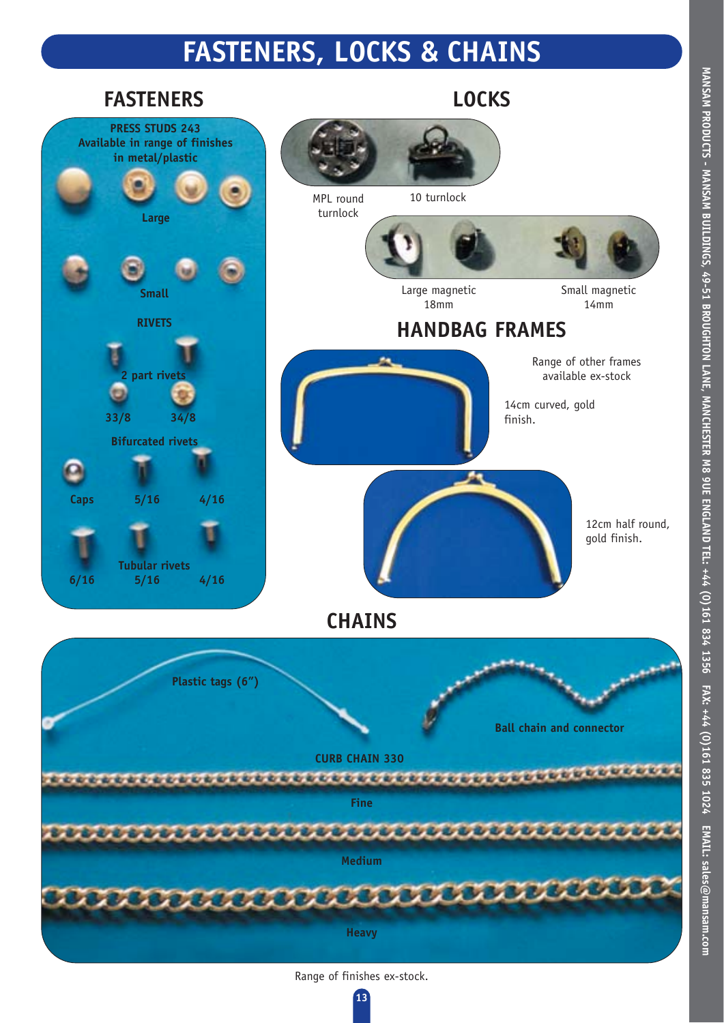## **FASTENERS, LOCKS & CHAINS**



**MANSAM PRODUCTS - MANSAM BUILDINGS, 49-51 BROUGHTON LANE, MANCHESTER M8 9UE ENGLAND TEL: +44 (0)161 834 1356 FAX: +44 (0)161 835 1024 EMAIL: sales@mansam.com** 

MANSAM PRODUCTS - MANSAM BUILDINGS, 49-51 BROUGHTON LANE, MANCHESTER M8 9UE ENGLAND TEL: +44 (0)161 834 1356 FAX: +44 (0)161 835 1024 EMAIL: sales@mansam.com

Range of finishes ex-stock.

**13**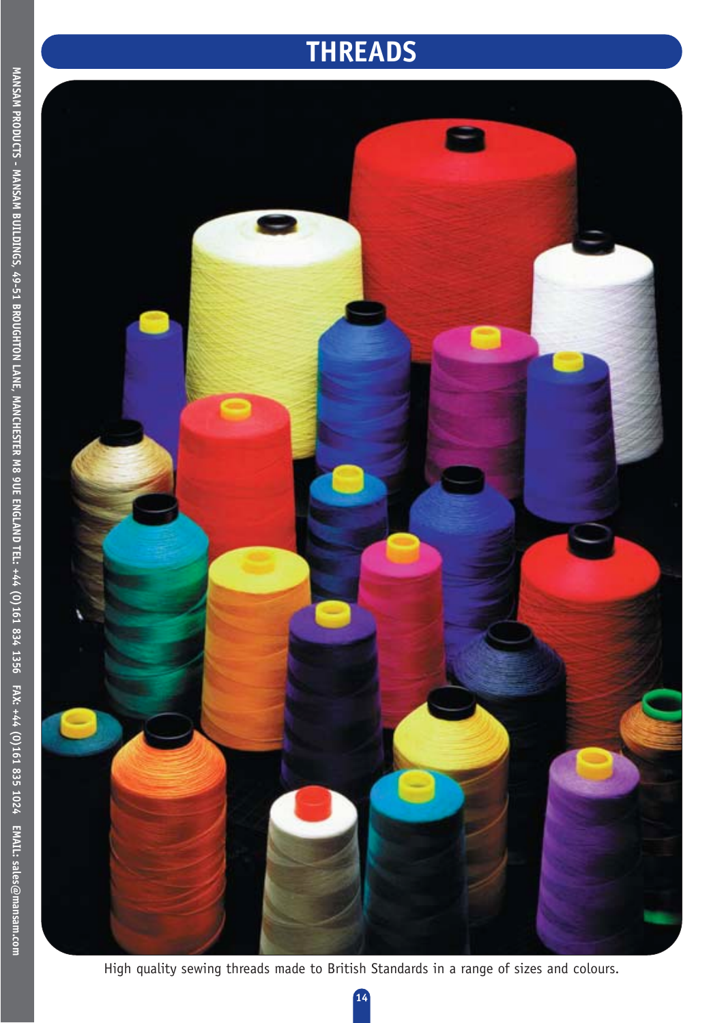## **THREADS**



High quality sewing threads made to British Standards in a range of sizes and colours.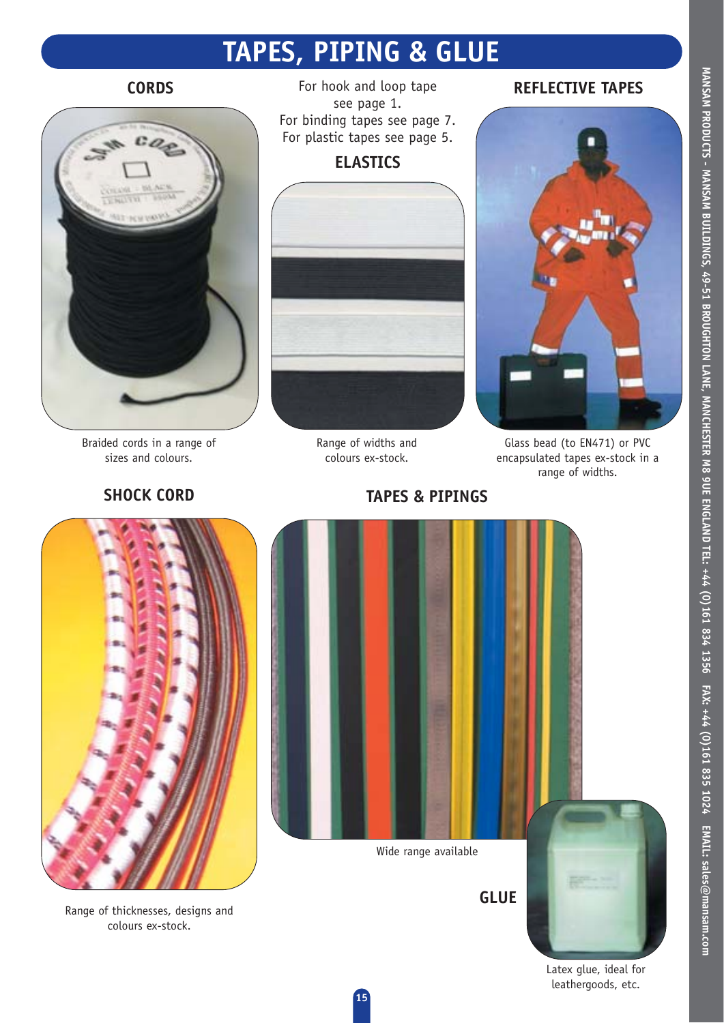## **TAPES, PIPING & GLUE**



Braided cords in a range of sizes and colours.



**CORDS REFLECTIVE TAPES** For hook and loop tape **REFLECTIVE TAPES** see page 1. For binding tapes see page 7. For plastic tapes see page 5.

#### **ELASTICS**



Range of widths and colours ex-stock.



Glass bead (to EN471) or PVC encapsulated tapes ex-stock in a range of widths.



Range of thicknesses, designs and colours ex-stock.



Wide range available

**GLUE**



Latex glue, ideal for leathergoods, etc.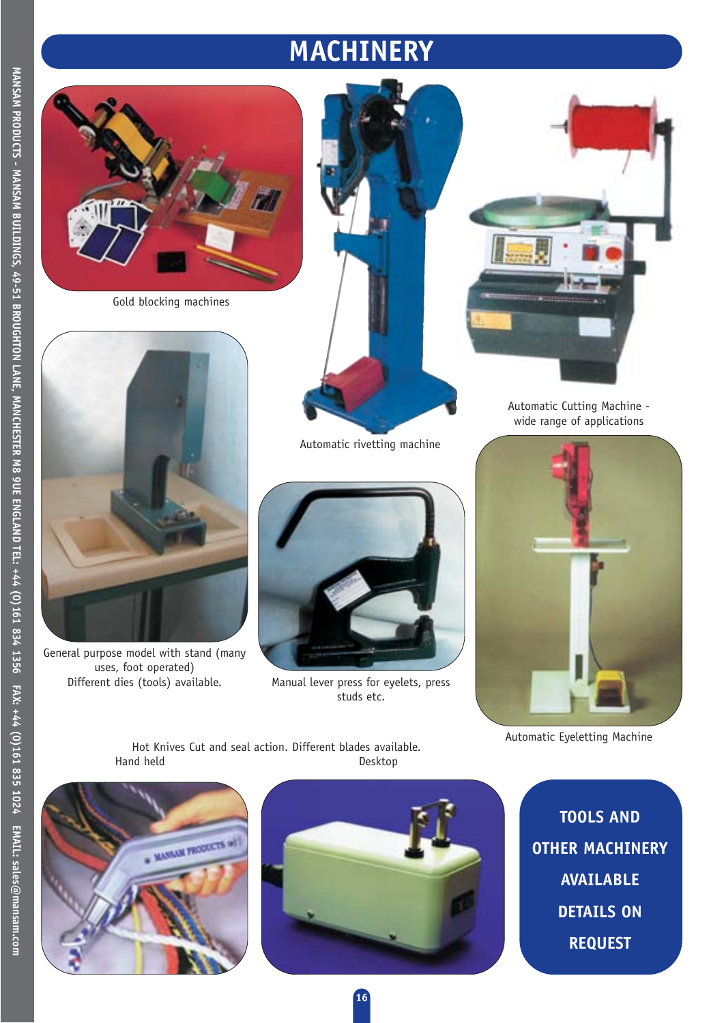## **MACHINERY**



Gold blocking machines







General purpose model with stand (many uses, foot operated)



Different dies (tools) available. Manual lever press for eyelets, press studs etc.



Automatic Cutting Machine wide range of applications



Automatic Eyeletting Machine

Hot Knives Cut and seal action. Different blades available. Hand held Desktop





**TOOLS AND OTHER MACHINERY AVAILABLE DETAILS ON REQUEST**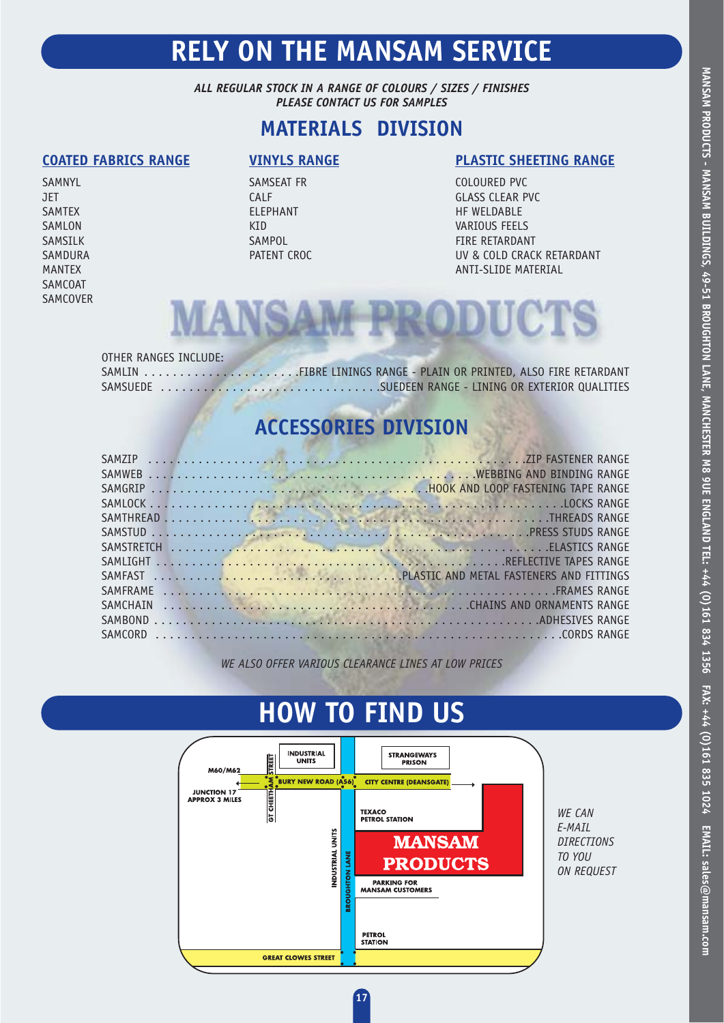## **RELY ON THE MANSAM SERVICE**

*ALL REGULAR STOCK IN A RANGE OF COLOURS / SIZES / FINISHES PLEASE CONTACT US FOR SAMPLES*

#### **MATERIALS DIVISION**

SAMCOAT SAMCOVER

SAMNYL SAMSEAT FR COLOURED PVC

#### **COATED FABRICS RANGE VINYLS RANGE PLASTIC SHEETING RANGE**

JET CALF GLASS CLEAR PVC SAMTEX ELEPHANT HF WELDABLE SAMLON CONTROL CONTROL CONTROL CONTROL CONTROL CONTROL CONTROL CONTROL CONTROL CONTROL CONTROL CONTROL CONTROL CONTROL CONTROL CONTROL CONTROL CONTROL CONTROL CONTROL CONTROL CONTROL CONTROL CONTROL CONTROL CONTROL CONTROL SAMSILK SAMPOL SAMPOL SAMPOL FIRE RETARDANT SAMDURA PATENT CROC DESCRIPTION ON A PATENT CROCHE AND THE UV & COLD CRACK RETARDANT MANTEX ANTI-SLIDE MATERIAL



#### OTHER RANGES INCLUDE:

SAMLIN . . . . . . . . . . . . . . . . . . . . . .FIBRE LININGS RANGE - PLAIN OR PRINTED, ALSO FIRE RETARDANT SAMSUEDE . . . . . . . . . . . . . . . . . . . . . . . . . . . . . . .SUEDEEN RANGE - LINING OR EXTERIOR QUALITIES

### **ACCESSORIES DIVISION**

*WE ALSO OFFER VARIOUS CLEARANCE LINES AT LOW PRICES*

## **HOW TO FIND US**